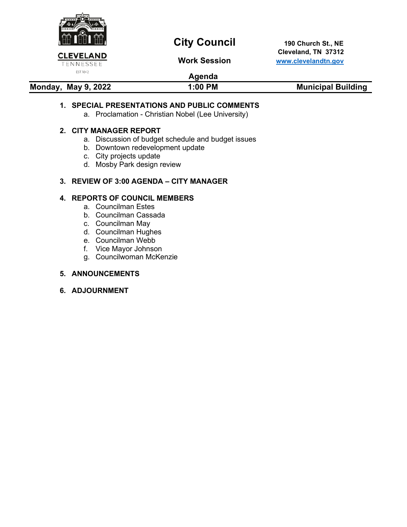

# **City Council** 190 Church St., NE

 **Cleveland, TN 37312 Work Session [www.clevelandtn.gov](http://www.clevelandtn.gov/)**

# **Agenda**

# **Monday, May 9, 2022** 1:00 PM 1:00 PM Municipal Building

### **1. SPECIAL PRESENTATIONS AND PUBLIC COMMENTS**

a. Proclamation - Christian Nobel (Lee University)

#### **2. CITY MANAGER REPORT**

- a. Discussion of budget schedule and budget issues
- b. Downtown redevelopment update
- c. City projects update
- d. Mosby Park design review

#### **3. REVIEW OF 3:00 AGENDA – CITY MANAGER**

## **4. REPORTS OF COUNCIL MEMBERS**

- a. Councilman Estes
- b. Councilman Cassada
- c. Councilman May
- d. Councilman Hughes
- e. Councilman Webb
- f. Vice Mayor Johnson
- g. Councilwoman McKenzie

#### **5. ANNOUNCEMENTS**

**6. ADJOURNMENT**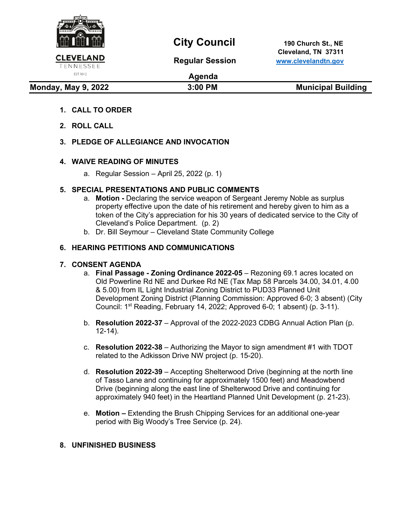

# **City Council** 190 Church St., NE

 **Cleveland, TN 37311 Regular Session [www.clevelandtn.gov](http://www.clevelandtn.gov/)**

# EST. 1842

**Agenda**

**Monday, May 9, 2022 3:00 PM Municipal Building** 

# **1. CALL TO ORDER**

**2. ROLL CALL** 

# **3. PLEDGE OF ALLEGIANCE AND INVOCATION**

### **4. WAIVE READING OF MINUTES**

a. Regular Session – April 25, 2022 (p. 1)

# **5. SPECIAL PRESENTATIONS AND PUBLIC COMMENTS**

- a. **Motion -** Declaring the service weapon of Sergeant Jeremy Noble as surplus property effective upon the date of his retirement and hereby given to him as a token of the City's appreciation for his 30 years of dedicated service to the City of Cleveland's Police Department. (p. 2)
- b. Dr. Bill Seymour Cleveland State Community College

# **6. HEARING PETITIONS AND COMMUNICATIONS**

### **7. CONSENT AGENDA**

- a. **Final Passage Zoning Ordinance 2022-05**  Rezoning 69.1 acres located on Old Powerline Rd NE and Durkee Rd NE (Tax Map 58 Parcels 34.00, 34.01, 4.00 & 5.00) from IL Light Industrial Zoning District to PUD33 Planned Unit Development Zoning District (Planning Commission: Approved 6-0; 3 absent) (City Council:  $1<sup>st</sup>$  Reading, February 14, 2022; Approved 6-0; 1 absent) (p. 3-11).
- b. **Resolution 2022-37**  Approval of the 2022-2023 CDBG Annual Action Plan (p. 12-14).
- c. **Resolution 2022-38** Authorizing the Mayor to sign amendment #1 with TDOT related to the Adkisson Drive NW project (p. 15-20).
- d. **Resolution 2022-39** Accepting Shelterwood Drive (beginning at the north line of Tasso Lane and continuing for approximately 1500 feet) and Meadowbend Drive (beginning along the east line of Shelterwood Drive and continuing for approximately 940 feet) in the Heartland Planned Unit Development (p. 21-23).
- e. **Motion** Extending the Brush Chipping Services for an additional one-year period with Big Woody's Tree Service (p. 24).

### **8. UNFINISHED BUSINESS**